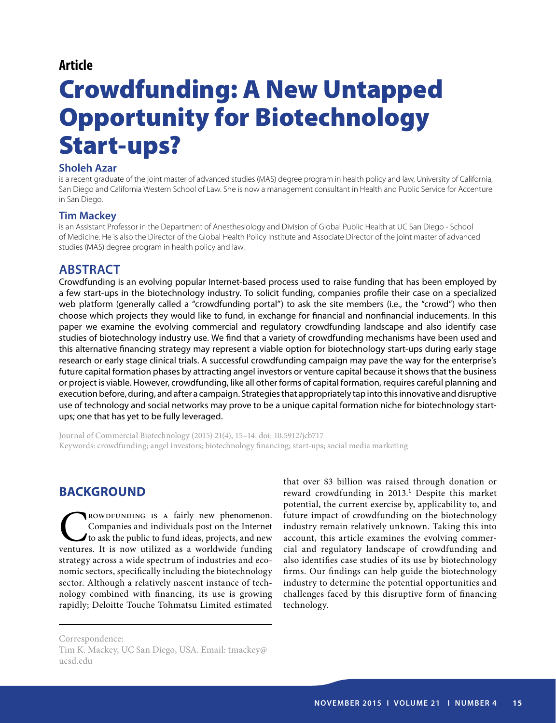## **Article**

# Crowdfunding: A New Untapped Opportunity for Biotechnology Start-ups?

#### **Sholeh Azar**

is a recent graduate of the joint master of advanced studies (MAS) degree program in health policy and law, University of California, San Diego and California Western School of Law. She is now a management consultant in Health and Public Service for Accenture in San Diego.

#### **Tim Mackey**

is an Assistant Professor in the Department of Anesthesiology and Division of Global Public Health at UC San Diego - School of Medicine. He is also the Director of the Global Health Policy Institute and Associate Director of the joint master of advanced studies (MAS) degree program in health policy and law.

# **Abstract**

Crowdfunding is an evolving popular Internet-based process used to raise funding that has been employed by a few start-ups in the biotechnology industry. To solicit funding, companies profile their case on a specialized web platform (generally called a "crowdfunding portal") to ask the site members (i.e., the "crowd") who then choose which projects they would like to fund, in exchange for financial and nonfinancial inducements. In this paper we examine the evolving commercial and regulatory crowdfunding landscape and also identify case studies of biotechnology industry use. We find that a variety of crowdfunding mechanisms have been used and this alternative financing strategy may represent a viable option for biotechnology start-ups during early stage research or early stage clinical trials. A successful crowdfunding campaign may pave the way for the enterprise's future capital formation phases by attracting angel investors or venture capital because it shows that the business or project is viable. However, crowdfunding, like all other forms of capital formation, requires careful planning and execution before, during, and after a campaign. Strategies that appropriately tap into this innovative and disruptive use of technology and social networks may prove to be a unique capital formation niche for biotechnology startups; one that has yet to be fully leveraged.

Journal of Commercial Biotechnology (2015) 21(4), 15–14. doi: 10.5912/jcb717 Keywords: crowdfunding; angel investors; biotechnology financing; start-ups; social media marketing

# **BACKGROUND**

**COMPUNDING IS A fairly new phenomenon.**<br>Companies and individuals post on the Internet to ask the public to fund ideas, projects, and new ventures. It is now utilized as a worldwide funding Companies and individuals post on the Internet to ask the public to fund ideas, projects, and new ventures. It is now utilized as a worldwide funding strategy across a wide spectrum of industries and economic sectors, specifically including the biotechnology sector. Although a relatively nascent instance of technology combined with financing, its use is growing rapidly; Deloitte Touche Tohmatsu Limited estimated

that over \$3 billion was raised through donation or reward crowdfunding in 2013.<sup>1</sup> Despite this market potential, the current exercise by, applicability to, and future impact of crowdfunding on the biotechnology industry remain relatively unknown. Taking this into account, this article examines the evolving commercial and regulatory landscape of crowdfunding and also identifies case studies of its use by biotechnology firms. Our findings can help guide the biotechnology industry to determine the potential opportunities and challenges faced by this disruptive form of financing technology.

Correspondence: Tim K. Mackey, UC San Diego, USA. Email: tmackey@ ucsd.edu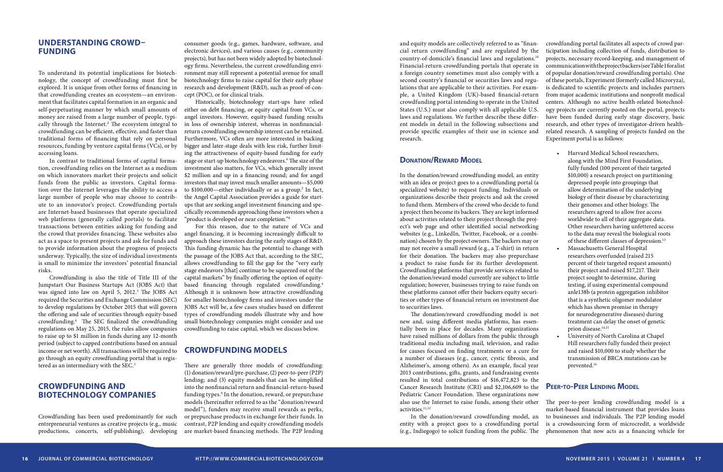In the donation/reward crowdfunding model, an entity with an idea or project goes to a crowdfunding portal (a specialized website) to request funding. Individuals or organizations describe their projects and ask the crowd to fund them. Members of the crowd who decide to fund a project then become its backers. They are kept informed about activities related to their project through the project's web page and other identified social networking websites (e.g., LinkedIn, Twitter, Facebook, or a combination) chosen by the project owners. The backers may or may not receive a small reward (e.g., a T-shirt) in return for their donation. The backers may also prepurchase a product to raise funds for its further development. Crowdfunding platforms that provide services related to the donation/reward model currently are subject to little regulation; however, businesses trying to raise funds on these platforms cannot offer their backers equity securities or other types of financial return on investment due to securities laws.

and equity models are collectively referred to as "financial return crowdfunding" and are regulated by the country-of-domicile's financial laws and regulations.10 Financial-return crowdfunding portals that operate in a foreign country sometimes must also comply with a second country's financial or securities laws and regulations that are applicable to their activities. For example, a United Kingdom (UK)-based financial-return crowdfunding portal intending to operate in the United States (U.S.) must also comply with all applicable U.S. laws and regulations. We further describe these different models in detail in the following subsections and provide specific examples of their use in science and research. crowdfunding portal facilitates all aspects of crowd participation including collection of funds, distribution to projects, necessary record-keeping, and management of communication with the project backers (see Table 1 for a list of popular donation/reward crowdfunding portals). One of these portals, Experiment (formerly called Microryza), is dedicated to scientific projects and includes partners from major academic institutions and nonprofit medical centers. Although no active health-related biotechnology projects are currently posted on the portal, projects have been funded during early stage discovery, basic research, and other types of investigator-driven healthrelated research. A sampling of projects funded on the Experiment portal is as follows:

### **DONATION/REWARD MODEL**

The donation/reward crowdfunding model is not new and, using different media platforms, has essentially been in place for decades. Many organizations have raised millions of dollars from the public through traditional media including mail, television, and radio for causes focused on finding treatments or a cure for a number of diseases (e.g., cancer, cystic fibrosis, and Alzheimer's, among others). As an example, fiscal year 2013 contributions, gifts, grants, and fundraising events resulted in total contributions of \$16,472,823 to the Cancer Research Institute (CRI) and \$2,106,609 to the Pediatric Cancer Foundation. These organizations now also use the Internet to raise funds, among their other activities.11,12

Crowdfunding is also the title of Title III of the Jumpstart Our Business Startups Act (JOBS Act) that was signed into law on April 5, 2012.<sup>3</sup> The JOBS Act required the Securities and Exchange Commission (SEC) to develop regulations by October 2015 that will govern the offering and sale of securities through equity-based crowdfunding.4 The SEC finalized the crowdfunding regulations on May 25, 2015, the rules allow companies to raise up to \$1 million in funds during any 12-month period (subject to capped contributions based on annual income or net worth). All transactions will be required to go through an equity crowdfunding portal that is registered as an intermediary with the SEC.<sup>5</sup>

> In the donation/reward crowdfunding model, an entity with a project goes to a crowdfunding portal (e.g., Indiegogo) to solicit funding from the public. The The peer-to-peer lending crowdfunding model is a market-based financial instrument that provides loans to businesses and individuals. The P2P lending model is a crowdsourcing form of microcredit, a worldwide phenomenon that now acts as a financing vehicle for

- • Harvard Medical School researchers, along with the Mind First Foundation, fully funded (100 percent of their targeted \$10,000) a research project on partitioning depressed people into groupings that allow determination of the underlying biology of their disease by characterizing their genomes and other biology. The researchers agreed to allow free access worldwide to all of their aggregate data. Other researchers having unfettered access to the data may reveal the biological roots of these different classes of depression.<sup>13</sup>
- Massachusetts General Hospital researchers overfunded (raised 215 percent of their targeted request amounts) their project and raised \$17,217. Their project sought to determine, during testing, if using experimental compound anle138b (a protein aggregation inhibitor that is a synthetic oligomer modulator which has shown promise in therapy for neurodegenerative diseases) during treatment can delay the onset of genetic prion disease.<sup>14,15</sup>
- University of North Carolina at Chapel Hill researchers fully funded their project and raised \$10,000 to study whether the transmission of BRCA mutations can be prevented.16

## **Peer-to-Peer Lending Model**

## **UNDERSTANDING CROWD– FUNDING**

To understand its potential implications for biotechnology, the concept of crowdfunding must first be explored. It is unique from other forms of financing in that crowdfunding creates an ecosystem—an environment that facilitates capital formation in an organic and self-perpetuating manner by which small amounts of money are raised from a large number of people, typically through the Internet.<sup>2</sup> The ecosystem integral to crowdfunding can be efficient, effective, and faster than traditional forms of financing that rely on personal resources, funding by venture capital firms (VCs), or by accessing loans.

In contrast to traditional forms of capital formation, crowdfunding relies on the Internet as a medium on which innovators market their projects and solicit funds from the public as investors. Capital formation over the Internet leverages the ability to access a large number of people who may choose to contribute to an innovator's project. Crowdfunding portals are Internet-based businesses that operate specialized web platforms (generally called portals) to facilitate transactions between entities asking for funding and the crowd that provides financing. These websites also act as a space to present projects and ask for funds and to provide information about the progress of projects underway. Typically, the size of individual investments is small to minimize the investors' potential financial risks.

## **CROWDFUNDING AND BIOTECHNOLOGY COMPANIES**

Crowdfunding has been used predominantly for such entrepreneurial ventures as creative projects (e.g., music productions, concerts, self-publishing), developing

consumer goods (e.g., games, hardware, software, and electronic devices), and various causes (e.g., community projects), but has not been widely adopted by biotechnology firms. Nevertheless, the current crowdfunding environment may still represent a potential avenue for small biotechnology firms to raise capital for their early phase research and development (R&D), such as proof-of-concept (POC), or for clinical trials.

Historically, biotechnology start-ups have relied either on debt financing, or equity capital from VCs, or angel investors. However, equity-based funding results in loss of ownership interest, whereas in nonfinancialreturn crowdfunding ownership interest can be retained. Furthermore, VCs often are more interested in backing bigger and later-stage deals with less risk, further limiting the attractiveness of equity-based funding for early stage or start-up biotechnology endeavors.<sup>6</sup> The size of the investment also matters, for VCs, which generally invest \$2 million and up in a financing round; and for angel investors that may invest much smaller amounts—\$5,000 to \$100,000-either individually or as a group.<sup>7</sup> In fact, the Angel Capital Association provides a guide for startups that are seeking angel investment financing and specifically recommends approaching these investors when a "product is developed or near completion."8

For this reason, due to the nature of VCs and angel financing, it is becoming increasingly difficult to approach these investors during the early stages of R&D. This funding dynamic has the potential to change with the passage of the JOBS Act that, according to the SEC, allows crowdfunding to fill the gap for the "very early stage endeavors [that] continue to be squeezed out of the capital markets" by finally offering the option of equitybased financing through regulated crowdfunding.<sup>4</sup> Although it is unknown how attractive crowdfunding for smaller biotechnology firms and investors under the JOBS Act will be, a few cases studies based on different types of crowdfunding models illustrate why and how small biotechnology companies might consider and use crowdfunding to raise capital, which we discuss below.

## **CROWDFUNDING MODELS**

There are generally three models of crowdfunding: (1) donation/reward/pre-purchase, (2) peer-to-peer (P2P) lending; and (3) equity models that can be simplified into the nonfinancial return and financial-return-based funding types.<sup>9</sup> In the donation, reward, or prepurchase models (hereinafter referred to as the "donation/reward model"), funders may receive small rewards as perks, or prepurchase products in exchange for their funds. In contrast, P2P lending and equity crowdfunding models are market-based financing methods. The P2P lending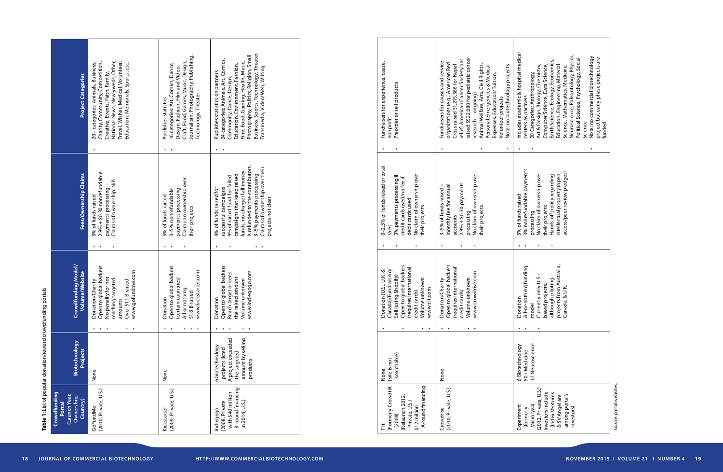Source: portal websites. *Source*: portal websites.

Table 1: List of popular donation/reward crowdfunding portals **Table 1:** List of popular donation/reward crowdfunding portals

| Fundraisers for experience, cause,<br>Preorder or sell products<br>nonprofit                                                                                                   | raised \$522,080 for pediatric cancer<br>relief, American Cancer Society has<br>Fundraisers for causes and service<br>organizations (e.g., American Red<br>Animal Welfare, Arts, Civil Rights,<br>Note: no biotechnology projects<br>Cross raised \$1,215,566 for Nepal<br>Personal Emergencies & Medical<br>Expenses, Education/Tuition,<br>esearch-ongoing)<br>Volunteer projects | Includes academic & hospital medical<br>Neuroscience, Paleontology, Physics,<br>Note: no commercial biotechnology<br>project but early phase projects are<br>Political Science, Psychology, Social<br>Earth Science, Ecology, Economics,<br>Art & Design, Biology, Chemistry,<br>Computer Science, Data Science,<br>Education, Engineering, Material<br>Science, Mathematics, Medicine,<br>20 Categories: Anthropology,<br>centers as partners<br>Science<br>funded |
|--------------------------------------------------------------------------------------------------------------------------------------------------------------------------------|-------------------------------------------------------------------------------------------------------------------------------------------------------------------------------------------------------------------------------------------------------------------------------------------------------------------------------------------------------------------------------------|---------------------------------------------------------------------------------------------------------------------------------------------------------------------------------------------------------------------------------------------------------------------------------------------------------------------------------------------------------------------------------------------------------------------------------------------------------------------|
| 0-2.5% of funds raised or total<br>No claim of ownership over<br>3% payments processing if<br>credit cards used/no fee if<br>debit cards used<br>their projects<br>sales       | No claim of ownership over<br>$2.9% + $0.30$ payments<br>3-5% of funds raised +<br>monthly fee for annual<br>their projects<br>processing<br>accounts                                                                                                                                                                                                                               | 3% nonrefundable payments<br>access/peer review pledges)<br>No claim of ownership over<br>intellectual property (open<br>Hands-off policy regarding<br>5% of funds raised<br>their projects<br>processing                                                                                                                                                                                                                                                           |
|                                                                                                                                                                                |                                                                                                                                                                                                                                                                                                                                                                                     |                                                                                                                                                                                                                                                                                                                                                                                                                                                                     |
| Open to global backers<br>(requires international<br>Donation (U.S., U.K. &<br>Canada)/Fundraising,<br>Sell (using Shopify)<br>Volume unknown<br>www.tilt.com<br>credit cards) | Open to global backers<br>(requires international<br>www.crowdrise.com<br>Volume unknown<br>Donation/Charity<br>credit cards)                                                                                                                                                                                                                                                       | projects from Australia,<br>All-or-nothing funding<br>Currently only U.S.-<br>although piloting<br>based projects,<br>Canada, & U.K.<br>Donation<br>model                                                                                                                                                                                                                                                                                                           |
|                                                                                                                                                                                |                                                                                                                                                                                                                                                                                                                                                                                     |                                                                                                                                                                                                                                                                                                                                                                                                                                                                     |
| searchable)<br>(site is not<br>None                                                                                                                                            | None                                                                                                                                                                                                                                                                                                                                                                                | 17 Neuroscience<br>6 Biotechnology<br>50+Medicine                                                                                                                                                                                                                                                                                                                                                                                                                   |
| (Formerly Crowdtilt<br>A-round financing<br>(Relaunch 2012,<br>Private, U.S.)<br>\$12 million<br>(2008)<br>Ĕ                                                                   | (2010, Private, U.S.)<br>Crowdrise                                                                                                                                                                                                                                                                                                                                                  | (2012, Private, U.S.)<br>Investors include<br>(Index Ventures<br>among portal's<br>& SV Angel are<br>Experiment<br>Microryza)<br>investors)<br>(formerly                                                                                                                                                                                                                                                                                                            |

| <b>Project Categories</b>                                         | National News, Newlyweds, Other,<br>Travel, Wishes, Medical, Volunteer,<br>Charity, Community, Competition,<br>20+ categories: Animals, Business,<br>Education, Memorials, Sports, etc.<br>Creative, Events, Faith, Family, | Journalism, Photography, Publishing,<br>Craft, Food, Games, Music, Design,<br>16 categories: Art, Comics, Dance,<br>Design, Fashion, Film and Video,<br>Technology, Theater<br>Publishes statistics | Business, Sports, Technology, Theater,<br>Photography, Politics, Religion, Small<br>24 categories: Animals, Art, Comics,<br>Film, Food, Gaming, Health, Music,<br>Education, Environment, Fashion,<br>Transmedia, Video/Web, Writing<br>Publishes statistics on partners<br>Community, Dance, Design, |
|-------------------------------------------------------------------|-----------------------------------------------------------------------------------------------------------------------------------------------------------------------------------------------------------------------------|-----------------------------------------------------------------------------------------------------------------------------------------------------------------------------------------------------|-------------------------------------------------------------------------------------------------------------------------------------------------------------------------------------------------------------------------------------------------------------------------------------------------------|
| Fees/Ownership Claims                                             | $2.9% + $0.30$ nonrefundable<br>Claims of ownership: N/A<br>payments processing<br>5% of funds raised                                                                                                                       | Claims no ownership over<br>payments processing<br>3-5% nonrefundable<br>5% of funds raised<br>their projects                                                                                       | is refunded to the contributors<br>Claims of ownership over their<br>funds, no charge if all money<br>campaigns that keep raised<br>3-5% payments processing<br>9% of raised fund for failed<br>successful campaigns<br>4% of funds raised for<br>projects not clear                                  |
| Crowdfunding Model/<br>Volume/Website                             | Donation/Charity<br>Open to global backers<br>No penalty for not<br>www.gofundme.com<br>reaching targeted<br>Over \$1.1 B raised<br>amounts                                                                                 | Donation<br>Open to global backers<br>www.kickstarter.com<br>(certain countries)<br>All or nothing<br>\$1.8 B raised                                                                                | Donation<br>Open to global backers<br>Reach target or keep<br>the raised amount<br>www.indiegogo.com<br>Volume unknown                                                                                                                                                                                |
| Biotechnology<br><b>Projects</b>                                  | None                                                                                                                                                                                                                        | None                                                                                                                                                                                                | A project exceeded<br>amount by selling<br>6 biotechnology<br>projects listed<br>the targeted<br>products                                                                                                                                                                                             |
| Crowdfunding<br>(Launch Year,<br>Ownership,<br>Country)<br>Portal | (2010, Private, U.S.)<br>GoFundMe                                                                                                                                                                                           | (2009, Private, U.S.)<br>Kickstarter                                                                                                                                                                | B-round financing<br>with \$40 million<br>(2008, Private<br>in 2014, U.S.)<br>Indiegogo                                                                                                                                                                                                               |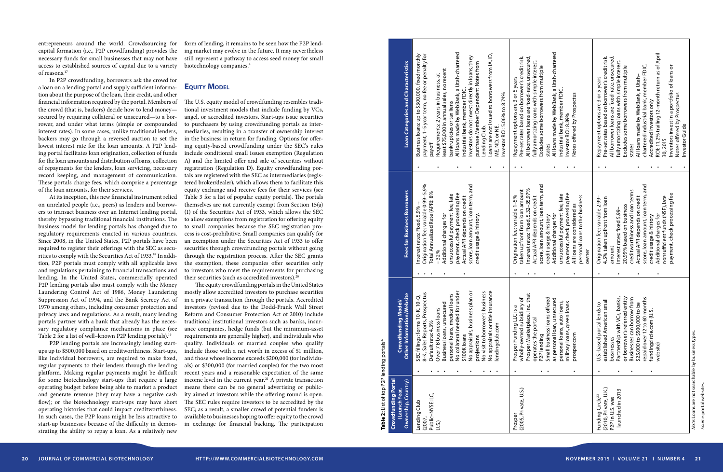| entrepreneurs around the world. Crowdsourcing for<br>capital formation (i.e., P2P crowdfunding) provides the<br>necessary funds for small businesses that may not have | form of lending, it remains to be seen how the P2P lend-<br>ing market may evolve in the future. It may nevertheless<br>still represent a pathway to access seed money for small |                               |                                                                                                                                                                                                                                                             |                                                                                                                                                                                    |                                                                                                                                                                      |
|------------------------------------------------------------------------------------------------------------------------------------------------------------------------|----------------------------------------------------------------------------------------------------------------------------------------------------------------------------------|-------------------------------|-------------------------------------------------------------------------------------------------------------------------------------------------------------------------------------------------------------------------------------------------------------|------------------------------------------------------------------------------------------------------------------------------------------------------------------------------------|----------------------------------------------------------------------------------------------------------------------------------------------------------------------|
| access to established sources of capital due to a variety<br>of reasons. <sup>17</sup>                                                                                 | biotechnology companies. <sup>4</sup>                                                                                                                                            | Characteristic                | a Utah-chartered<br>ss loans: up to \$300,000, fixed monthly<br>nt, 1–5 year term, no fee or penalty for<br>ending Club.<br>oans are not issued to borrowers from IA, ID,<br>.<br>they<br>o not invest directly in loans; th<br>lember Dependent Notes from | edit risk.<br>ē<br>, a Utah-chart<br>IC                                                                                                                                            | member FDIC.<br>% trailing 12-month return as of<br>ŏ<br>edit                                                                                                        |
| In P2P crowdfunding, borrowers ask the crowd for                                                                                                                       |                                                                                                                                                                                  |                               | ales, no recent                                                                                                                                                                                                                                             | borrowers from multiple<br>Ξ.<br>ςM,                                                                                                                                               | borrowers from multiple<br>simple inte<br>a portfolio of loans<br>€<br>years<br>Utah                                                                                 |
| a loan on a lending portal and supply sufficient informa-                                                                                                              | <b>EQUITY MODEL</b>                                                                                                                                                              |                               |                                                                                                                                                                                                                                                             | simple                                                                                                                                                                             | ed-rate,<br>ത<br>5                                                                                                                                                   |
| tion about the purpose of the loan, their credit, and other                                                                                                            |                                                                                                                                                                                  |                               | y WebBank, a<br>nember FDIC                                                                                                                                                                                                                                 | borrowe<br>ŏ                                                                                                                                                                       | $\rm\breve{o}$                                                                                                                                                       |
| financial information required by the portal. Members of                                                                                                               | The U.S. equity model of crowdfunding resembles tradi-                                                                                                                           |                               |                                                                                                                                                                                                                                                             | Prospectus<br>member FDI<br>fixed-                                                                                                                                                 | WebBank,<br>with<br>strial bank,<br>$\sim$<br>are                                                                                                                    |
| the crowd (that is, backers) decide how to lend money-                                                                                                                 | tional investment models that include funding by VCs,                                                                                                                            |                               |                                                                                                                                                                                                                                                             | are<br>oans                                                                                                                                                                        | loans                                                                                                                                                                |
| secured by requiring collateral or unsecured-to a bor-<br>rower, and under what terms (simple or compounded                                                            | angel, or accredited investors. Start-ups issue securities<br>to purchasers by using crowdfunding portals as inter-                                                              |                               |                                                                                                                                                                                                                                                             | options are<br>s based on l<br>89%<br>loans                                                                                                                                        | loans are<br>options<br>sbased o<br>eby<br>ase                                                                                                                       |
| interest rates). In some cases, unlike traditional lenders,                                                                                                            | mediaries, resulting in a transfer of ownership interest                                                                                                                         | <b>Categories and</b>         |                                                                                                                                                                                                                                                             | made by WebBank,<br>ROI: 8.                                                                                                                                                        | s invest in a portfoli<br>fered by Prospectus<br>offered b<br>or Guide                                                                                               |
| backers may go through a reversed auction to set the                                                                                                                   | in the business in return for funding. Options for offer-                                                                                                                        |                               |                                                                                                                                                                                                                                                             |                                                                                                                                                                                    | ᇃ<br>dite                                                                                                                                                            |
| lowest interest rate for the loan amounts. A P2P lend-                                                                                                                 | ing equity-based crowdfunding under the SEC's rules                                                                                                                              |                               | ME, ND, or NE.<br>nvestor ROI: 5.06% to 8.74%<br>ndustrial bank<br>nvestors d<br>purchase                                                                                                                                                                   | fully amortizing l<br>Excludes some b<br>Investor ROI: 8.<br>Notes offered l<br>All borrower<br>Repayment o<br>Pre-set rates l<br>ndustrial<br>All loans<br>tates                  | All borrower loar<br>fully amortizing l<br>Excludes some b<br>Repayment o<br>Pre-set rates<br>hartere<br>nvestor<br>2015<br>nventor<br>tates                         |
| ing portal facilitates loan origination, collection of funds                                                                                                           | include conditional small issues exemption (Regulation                                                                                                                           |                               | Loans<br>ME, NI                                                                                                                                                                                                                                             |                                                                                                                                                                                    | Notes<br>$\ddot{\vec{o}}$<br>Ö                                                                                                                                       |
| for the loan amounts and distribution of loans, collection                                                                                                             | A) and the limited offer and sale of securities without                                                                                                                          |                               |                                                                                                                                                                                                                                                             |                                                                                                                                                                                    |                                                                                                                                                                      |
| of repayments for the lenders, loan servicing, necessary                                                                                                               | registration (Regulation D). Equity crowdfunding por-                                                                                                                            |                               | $\bullet$                                                                                                                                                                                                                                                   | $\bullet$ . $\bullet$<br>$\begin{array}{cccccccccccccc} \bullet & \bullet & \bullet & \bullet & \bullet \end{array}$                                                               | $\bullet$ . $\bullet$<br>$\bullet$ $\bullet$<br>$\bullet$                                                                                                            |
| record keeping, and management of communication.                                                                                                                       | tals are registered with the SEC as intermediaries (regis-                                                                                                                       |                               |                                                                                                                                                                                                                                                             |                                                                                                                                                                                    |                                                                                                                                                                      |
| These portals charge fees, which comprise a percentage<br>of the loan amounts, for their services.                                                                     | tered broker/dealer), which allows them to facilitate this<br>equity exchange and receive fees for their services (see                                                           |                               | P                                                                                                                                                                                                                                                           |                                                                                                                                                                                    |                                                                                                                                                                      |
| At its inception, this new financial instrument relied                                                                                                                 | Table 3 for a list of popular equity portals). The portals                                                                                                                       |                               |                                                                                                                                                                                                                                                             | amoun<br>-35.97%                                                                                                                                                                   | terms                                                                                                                                                                |
| on unrelated people (i.e., peers) as lenders and borrow-                                                                                                               | themselves are not currently exempt from Section 15(a)                                                                                                                           |                               | loan term,                                                                                                                                                                                                                                                  | ssing fee<br>on credit                                                                                                                                                             | cessing fe                                                                                                                                                           |
| ers to transact business over an Internet lending portal,                                                                                                              | (1) of the Securities Act of 1933, which allows the SEC                                                                                                                          |                               |                                                                                                                                                                                                                                                             | fee,                                                                                                                                                                               | 5.99                                                                                                                                                                 |
| thereby bypassing traditional financial institutions. The                                                                                                              | to allow exemptions from registration for offering equity                                                                                                                        |                               | & history                                                                                                                                                                                                                                                   | unt, loan term,<br>are considered as                                                                                                                                               | nds (NSF), late<br>and loan                                                                                                                                          |
| business model for lending portals has changed due to                                                                                                                  | to small companies because the SEC registration pro-                                                                                                                             | <b>Business</b>               | mount,<br>arges                                                                                                                                                                                                                                             | charges <sup>+</sup>                                                                                                                                                               | ck pro<br>arges                                                                                                                                                      |
| regulatory requirements enacted in various countries.                                                                                                                  | cess is cost-prohibitive. Small companies can qualify for                                                                                                                        |                               | ഄ<br>ā                                                                                                                                                                                                                                                      | ⊗                                                                                                                                                                                  | 둥                                                                                                                                                                    |
| Since 2008, in the United States, P2P portals have been<br>required to register their offerings with the SEC as secu-                                                  | an exemption under the Securities Act of 1933 to offer<br>securities through crowdfunding portals without going                                                                  | tor                           | nation fee: variable 0.99–5.<br>Annualized Rate (APR): 8%<br>cessful payment fee, late<br>ent, check processing fee<br>il APR depends on credit                                                                                                             | usage<br>loan                                                                                                                                                                      | loan                                                                                                                                                                 |
| rities to comply with the Securities Act of 1933. <sup>18</sup> In addi-                                                                                               | through the registration process. After the SEC grants                                                                                                                           |                               | nterest rates: Fixed, 5.9%<br>score, loan a<br>credit usage<br>.32%<br>\dditional<br>payment,<br>Actual API<br>nsucc                                                                                                                                        | bersonal loans to the business<br>erisuccessful payment first payment first<br>payment, check process<br>All loans are conditional<br>Additional<br>i<br>Tedit I<br>owner<br>core, | Origination fee: variable 2.99-<br>4.5% taken upfront from loan<br>onsufficien<br>dditional<br>payment,<br>reditwo<br>imount<br>199%<br>ctual                        |
| tion, P2P portals must comply with all applicable laws                                                                                                                 | the exemption, these companies offer securities only                                                                                                                             |                               |                                                                                                                                                                                                                                                             |                                                                                                                                                                                    |                                                                                                                                                                      |
| and regulations pertaining to financial transactions and                                                                                                               | to investors who meet the requirements for purchasing                                                                                                                            |                               |                                                                                                                                                                                                                                                             |                                                                                                                                                                                    |                                                                                                                                                                      |
| lending. In the United States, commercially operated                                                                                                                   | their securities (such as accredited investors). <sup>20</sup>                                                                                                                   |                               | $\bullet\qquad\bullet\qquad\bullet\qquad$                                                                                                                                                                                                                   | $\bullet\quad\bullet$                                                                                                                                                              |                                                                                                                                                                      |
| P2P lending portals also must comply with the Money                                                                                                                    | The equity crowdfunding portals in the United States                                                                                                                             |                               |                                                                                                                                                                                                                                                             |                                                                                                                                                                                    |                                                                                                                                                                      |
| Laundering Control Act of 1986, Money Laundering                                                                                                                       | mostly allow accredited investors to purchase securities                                                                                                                         |                               |                                                                                                                                                                                                                                                             |                                                                                                                                                                                    |                                                                                                                                                                      |
| Suppression Act of 1994, and the Bank Secrecy Act of                                                                                                                   | in a private transaction through the portals. Accredited                                                                                                                         | odel/<br>Mebsite              | nsurance<br>for under<br>is plan or<br>al loans<br>K, 10-Q,<br>ospectus<br>busine<br>ဥ္ပ                                                                                                                                                                    | $\frac{1}{2}$ of<br>ffered<br>cured<br>ans,<br>pans<br>ن ح $\leq$<br>$\sigma$                                                                                                      | banks,<br>  entity<br>  from<br>  be<br>sto<br>small                                                                                                                 |
| 1970 among others, including consumer protection and<br>privacy laws and regulations. As a result, many lending                                                        | investors (revised due to the Dodd-Frank Wall Street<br>Reform and Consumer Protection Act of 2010) include                                                                      |                               |                                                                                                                                                                                                                                                             |                                                                                                                                                                                    |                                                                                                                                                                      |
| portals partner with a bank that already has the neces-                                                                                                                | traditional institutional investors such as banks, insur-                                                                                                                        |                               | title i<br><u>ಠ</u>                                                                                                                                                                                                                                         | , auto lo<br>green lo<br>inding LLC is<br>rned subsidi<br>uns<br>LLC<br>ans                                                                                                        | errec<br>can borrov<br>Š<br>500,000<br>$\mathcal{S}^{\mathsf{O}}$                                                                                                    |
| sary regulatory compliance mechanisms in place (see                                                                                                                    | ance companies, hedge funds (but the minimum-asset                                                                                                                               |                               | orrow<br>com                                                                                                                                                                                                                                                | $\overline{\circ}$<br>S                                                                                                                                                            | with<br>$\mathtt{S}$<br>$\mathbf{L}$                                                                                                                                 |
| Table 2 for a list of well-known P2P lending portals). <sup>19</sup>                                                                                                   | requirements are generally higher), and individuals who                                                                                                                          | owdfunding M                  | loans,<br>isu                                                                                                                                                                                                                                               | Marketplace,<br>the portal                                                                                                                                                         |                                                                                                                                                                      |
| P2P lending portals are increasingly lending start-                                                                                                                    | qualify. Individuals or married couples who qualify                                                                                                                              | lending portals <sup>32</sup> | No appraisals, busines<br>collateral needed<br>fillings: forms 10-<br>Sales Reports, Pr<br>ersonal loans<br>No visit to bor<br>No appraisals<br>lendingclub.cc<br>\$100K loans<br>rojections<br>B                                                           | as personal loan,<br>personal loans, ;<br>military loans, g<br>prosper.com<br>p2P lending<br>Small busin                                                                           | U.S.-based portal lend<br>established American<br>\$25,000 to \$5C<br>repaid over 12<br>fundingcircle.<br>website)<br>Partnership<br>or borrowe<br><b>Businesses</b> |
| ups up to \$500,000 based on creditworthiness. Start-ups,                                                                                                              | include those with a net worth in excess of \$1 million,                                                                                                                         |                               | <b>Business</b>                                                                                                                                                                                                                                             | operates<br>Prospe<br>wholly                                                                                                                                                       | busine:                                                                                                                                                              |
| like individual borrowers, are required to make fixed,                                                                                                                 | and those whose income exceeds \$200,000 (for individu-                                                                                                                          |                               |                                                                                                                                                                                                                                                             |                                                                                                                                                                                    | ⊃                                                                                                                                                                    |
| regular payments to their lenders through the lending<br>platform. Making regular payments might be difficult                                                          | als) or \$300,000 (for married couples) for the two most<br>recent years and a reasonable expectation of the same                                                                |                               | $\bullet$ , $\bullet$ , $\bullet$<br>$\bullet$ $\bullet$<br>$\bullet$                                                                                                                                                                                       | $\bullet$ . $\bullet$                                                                                                                                                              |                                                                                                                                                                      |
| for some biotechnology start-ups that require a large                                                                                                                  | income level in the current year. <sup>21</sup> A private transaction                                                                                                            |                               |                                                                                                                                                                                                                                                             |                                                                                                                                                                                    |                                                                                                                                                                      |
| operating budget before being able to market a product                                                                                                                 | means there can be no general advertising or public-                                                                                                                             | P <sub>2</sub> P<br>Portal    |                                                                                                                                                                                                                                                             |                                                                                                                                                                                    |                                                                                                                                                                      |
| and generate revenue (they may have a negative cash                                                                                                                    | ity aimed at investors while the offering round is open.                                                                                                                         | do                            |                                                                                                                                                                                                                                                             | U.S.)                                                                                                                                                                              |                                                                                                                                                                      |
| flow); or the biotechnology start-ups may have short                                                                                                                   | The SEC rules require investors to be accredited by the                                                                                                                          | dfunding<br>Ⴆ                 | -NYSE: LC<br>Club                                                                                                                                                                                                                                           | Prosper<br>(2005, Private, l                                                                                                                                                       | Funding Circle <sup>33</sup><br>(2010, Private, U.K.)<br>P2P in U.S. was<br>launched in 2013                                                                         |
| operating histories that could impact creditworthiness.                                                                                                                | SEC; as a result, a smaller crowd of potential funders is                                                                                                                        |                               |                                                                                                                                                                                                                                                             |                                                                                                                                                                                    |                                                                                                                                                                      |
| In such cases, the P2P loans might be less attractive to                                                                                                               | available to businesses hoping to offer equity to the crowd                                                                                                                      | Ownership,<br>Table 2: List   | Lending<br>(2007,<br>Public–N<br>U.S.)                                                                                                                                                                                                                      |                                                                                                                                                                                    |                                                                                                                                                                      |
| start-up businesses because of the difficulty in demon-                                                                                                                | in exchange for financial backing. The participation                                                                                                                             | Gro                           |                                                                                                                                                                                                                                                             |                                                                                                                                                                                    |                                                                                                                                                                      |
| strating the ability to repay a loan. As a relatively new                                                                                                              |                                                                                                                                                                                  |                               |                                                                                                                                                                                                                                                             |                                                                                                                                                                                    |                                                                                                                                                                      |
| JOURNAL OF COMMERCIAL BIOTECHNOLOGY<br>20                                                                                                                              | HTTP://WWW.COMMERCIALBIOTECHNOLOGY.COM                                                                                                                                           |                               |                                                                                                                                                                                                                                                             |                                                                                                                                                                                    | NOVEMBER 2015   VOLUME 21   NUMBER 4 21                                                                                                                              |

#### **EQUITY MODEL**

*Source*: portal websites.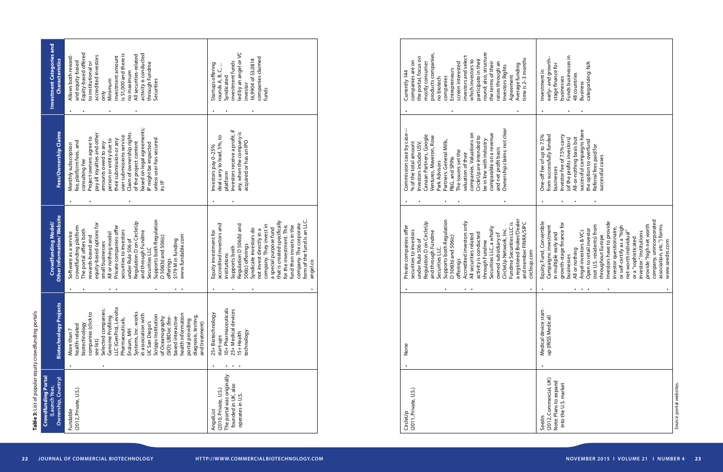| CircleUp                 | None                  | Private companies offer                             | Commission case by case     | Currently 144                         |
|--------------------------|-----------------------|-----------------------------------------------------|-----------------------------|---------------------------------------|
| (2011, Private, U.S.)    |                       | securities to investors                             | % of the total amount       | companies are on                      |
|                          |                       | under Rule 506 of                                   | Investors include USV,      | the portal, focus on                  |
|                          |                       | Regulation D on CircleUp                            | Canaan Partners, Google     | mostly consumer                       |
|                          |                       | and through Fundme                                  | Ventures, Maveron, Rose     | products companies,                   |
|                          |                       | Securities LLC.                                     | Park Advisors               | no biotech                            |
|                          |                       | Supports both Regulation                            | Partners: General Mills,    | companies                             |
|                          |                       | D 506(b) and 506(c)                                 | P&G, and SPINs              | Entrepreneurs                         |
|                          |                       | offerings                                           | The issuers set the         | screen interested                     |
|                          |                       | Accredited investors only                           | valuation of their          | investors and select                  |
|                          |                       | All securities related                              | companies. Valuations on    | which investors to                    |
|                          |                       | activity is conducted                               | CircleUp are intended to    | participate in their                  |
|                          |                       | through Fundme                                      | be in line with industry    | round; also, structure                |
|                          |                       | Securities LLC, a wholly                            | comparable on a revenue     | the terms of their                    |
|                          |                       | owned subsidiary of                                 | and net profit basis        | raises through an                     |
|                          |                       | CircleUp Network, Inc.                              | Ownership claims: not clear | nvestors Rights                       |
|                          |                       | Fundme Securities LLC is                            |                             | Agreement                             |
|                          |                       |                                                     |                             |                                       |
|                          |                       | a registered Broker/Dealer<br>and member FINRA/SIPC |                             | time is 2-3 months<br>Average funding |
|                          |                       | circleup.com                                        |                             |                                       |
|                          |                       |                                                     |                             |                                       |
| Seedrs                   | Medical device start- | Equity, Fund, Convertible                           | One-off fee of up to 7.5%   | Investment in                         |
| (2012, Commercial, UK)   | up (IRISS Medical)    | Campaigns: investment                               | from successfully funded    | early-and growth-                     |
| Note: Plans to expand    |                       | in multiple early and                               | businesses                  | stage finance for                     |
| into the U.S. market     |                       | growth-stage finance for                            | nvestor fee of 7.5% carry   | businesses                            |
|                          |                       | businesses                                          | (of the profits investors)  | Funds businesses in                   |
|                          |                       | All or nothing                                      | All-or-nothing basis but    | 48 countries                          |
|                          |                       | Angel investors & VCs                               |                             |                                       |
|                          |                       |                                                     | successful campaigns have   | <b>Business</b>                       |
|                          |                       | Open to retail investor                             | the option to overfund      | categorizing: N/A                     |
|                          |                       | (not U.S. residents) from                           | Referral fees paid for      |                                       |
|                          |                       | throughout Europe                                   | successful cases            |                                       |
|                          |                       | nvestors have to provide                            |                             |                                       |
|                          |                       | investor questionnaire,                             |                             |                                       |
|                          |                       | or self-certify as a "high                          |                             |                                       |
|                          |                       | net-worth individual"                               |                             |                                       |
|                          |                       | or a "sophisticated                                 |                             |                                       |
|                          |                       | investor." Institutions                             |                             |                                       |
|                          |                       | provide "high net worth                             |                             |                                       |
|                          |                       | company, unincorporated                             |                             |                                       |
|                          |                       | association, etc.") forms.                          |                             |                                       |
|                          |                       | www.seedrs.com                                      |                             |                                       |
| Source: portal websites. |                       |                                                     |                             |                                       |
|                          |                       |                                                     |                             |                                       |

**Table 3:** List of popular equity crowdfunding portals

Table 3: List of popular equity crowdfunding portals

| <b>Crowdfunding Portal</b><br>Ownership, Country)<br>(Launch Year,                                        | ects<br>Biotechnology Proje                                                                                                                                                                                                                                                                                                                                                                                                     | Other Information/Website<br>Crowdfunding Model/                                                                                                                                                                                                                                                                                                                                                                               | Fees/Ownership Claims                                                                                                                                                                                                                                                                                                                                                                  | <b>Investment Categories and</b><br><b>Characteristics</b>                                                                                                                                                                                                                         |
|-----------------------------------------------------------------------------------------------------------|---------------------------------------------------------------------------------------------------------------------------------------------------------------------------------------------------------------------------------------------------------------------------------------------------------------------------------------------------------------------------------------------------------------------------------|--------------------------------------------------------------------------------------------------------------------------------------------------------------------------------------------------------------------------------------------------------------------------------------------------------------------------------------------------------------------------------------------------------------------------------|----------------------------------------------------------------------------------------------------------------------------------------------------------------------------------------------------------------------------------------------------------------------------------------------------------------------------------------------------------------------------------------|------------------------------------------------------------------------------------------------------------------------------------------------------------------------------------------------------------------------------------------------------------------------------------|
| (2012, Private, U.S.)<br>Fundable                                                                         | LC (GenPro), Levolta<br>Selected companies:<br>companies (click to<br>Systems, Inc. works<br>health information<br>in association with<br>Scripps Institution<br>Genome Profiling<br>diagnosis, testing,<br>(SIO); UBDoc (fee-<br>based interactive<br>of Oceanography<br>Pharmaceuticals,<br>portal providing<br>UC San Diego's<br>and treatment)<br>biotechnology<br>health-related<br>Enzium, MH<br>More than 7<br>see list) | Supports both Regulation<br>Regulation D on CircleUp<br>equity-based options for<br>Private companies offer<br>crowdfunding platform<br>The portal offers both<br>securities to investors<br>and through Fundme<br>Software as a service<br>All or nothing model<br>www.fundable.com<br>D 506(b) and 506(c)<br>rewards-based and<br>under Rule 506 of<br>\$179 M in funding<br>small businesses<br>Securities LLC<br>offerings | based on legal agreements;<br>Claim of ownership rights<br>pay all royalties and other<br>user submissions service<br>Project owners agree to<br>unless user has secured<br>person or entity due to<br>their submission or any<br>fee, platform fees, and<br>of the project content<br>amounts owed to any<br>IP might be impacted<br>Monthly subscription<br>consulting fee<br>its IP | Equity-based offered<br>is \$1,000 and there is<br>activity is conducted<br>All securities-related<br>accredited investors<br>Allows both reward-<br>investment amount<br>and equity-based<br>to institutional or<br>through Fundme<br>no maximum<br>Minimum<br>Securities<br>only |
| The portal was originally<br>founded in UK, also<br>(2010, Private, U.S.)<br>operates in U.S<br>AngelList | 10+ Pharmaceuticals<br>25+ Medical devices<br>25+Biotechnology<br>technology<br>I5+Health<br>start-ups                                                                                                                                                                                                                                                                                                                          | form of the fund is an LLC.<br>that is created specifically<br>company. The corporate<br>accredited investors and<br>Regulation D 506(b) and<br>company. They invest in<br>for the investment. This<br>fund then invests in the<br>a special purpose fund<br>Syndicate investors do<br>not invest directly in a<br>Equity investment for<br>506(c) offerings<br>Supports both<br>institutions<br>angel.co                      | Investors receive a profit, if<br>any, when the company is<br>deal carry to lead, 5%, to<br>acquired or has an IPO<br>Investors pay 0-25%<br>platform                                                                                                                                                                                                                                  | ed by an angel or VC<br>companies claimed<br>16,9904 of 53,0814<br>investment funds<br>Startups offering<br>rounds A, B, C,<br>Syndicated<br>investor<br>funds                                                                                                                     |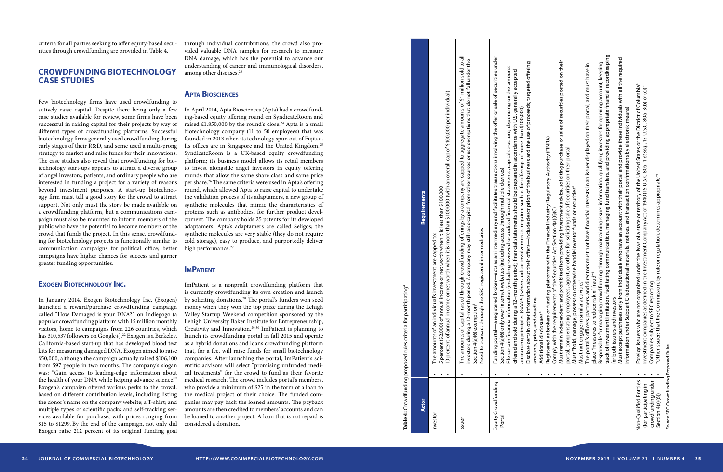| Equity Crowdfunding<br><b>Actor</b><br>Investor<br>Portal<br>Issuer                       | track of investment limitation, facilitating communication, managing fund transfers, and providing appropriate financial recordkeeping<br>The amounts of capital raised through crowdfunding offerings by a company are capped to aggregate amounts of \$1 million sold to all<br>Funding portal—a registered broker—acts as an intermediary and facilitates transactions involving the offer or sale of securities under<br>investors during a 12-month period. A company may still raise capital from other sources or use exemptions that do not fall under the<br>Must remain independent and prohibited from providing investment advice, soliciting purchase or sales of securities posted on their<br>information about their offers—include description of the business and the use of proceeds; targeted offering<br>Responsible for managing crowdfunding through maintaining issuer information, qualifying investors for opening account, keeping<br>The portal's officers, partners, and directors must not have financial interests in an issuer displayed on their portal, and must have in<br>File certain financial information (including reviewed or audited financial statements, capital structure, depending on the amounts<br>offered and sold during a 12-month period); financial statements should be prepared in accordance with U.S. generally accepted<br>income or net worth when it is more than \$100,000 (with an overall cap of \$100,000 per individual)<br>(GAAPs) when auditor involvement is required such as for offerings of more than \$100,000)<br>or funding platforms with the Financial Industry Regulatory Authority (FINRA)<br>employees, agent, or others for soliciting sale of securities on their portal<br>Section 4(a)(6) only over Internet websites (including access through multiple devices)<br>5 percent (\$2,000) of annual income or net worth when it is less than \$100,000<br>possess or otherwise handle investor funds or securities"<br>Requirements<br>Comply with the requirements of the Securities Act Section 4(a)(6)(C)<br>Need to transact through the SEC-registered intermediaries<br>dividual's investment are capped to:<br>place "measures to reduce risk of fraud"<br>Must not engage in similar activities <sup>4</sup><br>Table 4: Crowdfunding proposed rules criteria for participating <sup>4</sup><br>for both issuers and investors<br>amounts, price, and deadline<br>Section 4(a)(6) exemption <sup>4</sup><br>accounting principles<br>Disclose certain other<br>Additional disclosures<br>Registered as brokers<br>portal, compensating<br>The amounts of an in-<br>Must "hold, manage,<br>10 percent of annual |
|-------------------------------------------------------------------------------------------|------------------------------------------------------------------------------------------------------------------------------------------------------------------------------------------------------------------------------------------------------------------------------------------------------------------------------------------------------------------------------------------------------------------------------------------------------------------------------------------------------------------------------------------------------------------------------------------------------------------------------------------------------------------------------------------------------------------------------------------------------------------------------------------------------------------------------------------------------------------------------------------------------------------------------------------------------------------------------------------------------------------------------------------------------------------------------------------------------------------------------------------------------------------------------------------------------------------------------------------------------------------------------------------------------------------------------------------------------------------------------------------------------------------------------------------------------------------------------------------------------------------------------------------------------------------------------------------------------------------------------------------------------------------------------------------------------------------------------------------------------------------------------------------------------------------------------------------------------------------------------------------------------------------------------------------------------------------------------------------------------------------------------------------------------------------------------------------------------------------------------------------------------------------------------------------------------------------------------------------------------------------------------------------------------------------------------------------------------------------------------------------------------------------------------------------------------------------------------------------------------------------------------------------------------------------------------------------------------------------------------------------------------------------------------------------------------------|
|                                                                                           | Must accept purchases only from individuals who have an account with their portal and provide these individuals with all the required<br>information under Subpart C (educational materials, notices. and transaction confirmations by electronic means)                                                                                                                                                                                                                                                                                                                                                                                                                                                                                                                                                                                                                                                                                                                                                                                                                                                                                                                                                                                                                                                                                                                                                                                                                                                                                                                                                                                                                                                                                                                                                                                                                                                                                                                                                                                                                                                                                                                                                                                                                                                                                                                                                                                                                                                                                                                                                                                                                                                   |
| Non-Qualified Entities<br>crowdfunding under<br>(for participating in<br>Section 4(a)(6)) | Foreign issuers who are not organized under the laws of a state or territory of the United States or the District of Columbia <sup>4</sup><br>Investment companies as defined in the Investment Company Act of 1940 (15 U.S.C 80a-1 et seq., 15 U.S.C. 80a-3(b) or (c)) <sup>4</sup><br>e Commission, by rule or regulation, determines appropriate" <sup>4</sup><br>SEC reporting<br>Companies subject to<br>"Other issuers that the                                                                                                                                                                                                                                                                                                                                                                                                                                                                                                                                                                                                                                                                                                                                                                                                                                                                                                                                                                                                                                                                                                                                                                                                                                                                                                                                                                                                                                                                                                                                                                                                                                                                                                                                                                                                                                                                                                                                                                                                                                                                                                                                                                                                                                                                      |
| Source: SEC Crowdfunding Proposed Rules.                                                  |                                                                                                                                                                                                                                                                                                                                                                                                                                                                                                                                                                                                                                                                                                                                                                                                                                                                                                                                                                                                                                                                                                                                                                                                                                                                                                                                                                                                                                                                                                                                                                                                                                                                                                                                                                                                                                                                                                                                                                                                                                                                                                                                                                                                                                                                                                                                                                                                                                                                                                                                                                                                                                                                                                            |

through individual contributions, the crowd also pro vided valuable DNA samples for research to measure DNA damage, which has the potential to advance our understanding of cancer and immunological disorders, among other diseases.<sup>23</sup>

In April 2014, Apta Biosciences (Apta) had a crowdfund ing-based equity offering round on SyndicateRoom and raised  $£1,850,000$  by the round's close.<sup>24</sup> Apta is a small biotechnology company (11 to 50 employees) that was founded in 2013 when its technology spun out of Fujitsu. Its offices are in Singapore and the United Kingdom.<sup>25</sup> SyndicateRoom is a UK-based equity crowdfunding platform; its business model allows its retail members to invest alongside angel investors in equity offering rounds that allow the same share class and same price per share.26 The same criteria were used in Apta's offering round, which allowed Apta to raise capital to undertake the validation process of its adaptamers, a new group of synthetic molecules that mimic the characteristics of proteins such as antibodies, for further product devel opment. The company holds 25 patents for its developed adaptamers. Apta's adaptamers are called Seligos; the synthetic molecules are very stable (they do not require cold storage), easy to produce, and purportedly deliver high performance.<sup>27</sup>

#### **IMPATIENT**

criteria for all parties seeking to offer equity-based secu rities through crowdfunding are provided in Table 4.

# **CROWDFUNDING BIOTECHNOLOGY Case Studies**

Few biotechnology firms have used crowdfunding to actively raise capital. Despite there being only a few case studies available for review, some firms have been successful in raising capital for their projects by way of different types of crowdfunding platforms. Successful biotechnology firms generally used crowdfunding during early stages of their R&D, and some used a multi-prong strategy to market and raise funds for their innovations. The case studies also reveal that crowdfunding for bio technology start-ups appears to attract a diverse group of angel investors, patients, and ordinary people who are interested in funding a project for a variety of reasons beyond investment purposes. A start-up biotechnol ogy firm must tell a good story for the crowd to attract support. Not only must the story be made available on a crowdfunding platform, but a communications cam paign must also be mounted to inform members of the public who have the potential to become members of the crowd that funds the project. In this sense, crowdfund ing for biotechnology projects is functionally similar to communication campaigns for political office; better campaigns have higher chances for success and garner greater funding opportunities.

## **Exogen Biotechnology Inc .**

In January 2014, Exogen Biotechnology Inc. (Exogen) launched a reward/purchase crowdfunding campaign called "How Damaged is your DNA?" on Indiegogo (a popular crowdfunding platform with 15 million monthly visitors, home to campaigns from 226 countries, which has 310,537 followers on Google+).<sup>22</sup> Exogen is a Berkeley, California-based start-up that has developed blood test kits for measuring damaged DNA. Exogen aimed to raise \$50,000, although the campaign actually raised \$106,100 from 597 people in two months. The company's slogan was: "Gain access to leading-edge information about the health of your DNA while helping advance science!" Exogen's campaign offered various perks to the crowd, based on different contribution levels, including listing the donor's name on the company website; a T-shirt; and multiple types of scientific packs and self-tracking ser vices available for purchase, with prices ranging from \$15 to \$1299. By the end of the campaign, not only did Exogen raise 212 percent of its original funding goal

#### **Apta Biosciences**

ImPatient is a nonprofit crowdfunding platform that is currently crowdfunding its own creation and launch by soliciting donations.<sup>28</sup> The portal's funders won seed money when they won the top prize during the Lehigh Valley Startup Weekend competition sponsored by the Lehigh University Baker Institute for Entrepreneurship, Creativity and Innovation.29,30 ImPatient is planning to launch its crowdfunding portal in fall 2015 and operate as a hybrid donations and loans crowdfunding platform that, for a fee, will raise funds for small biotechnology companies. After launching the portal, ImPatient's sci entific advisors will select "promising unfunded medi cal treatments" for the crowd to fund as their favorite medical research. The crowd includes portal's members, who provide a minimum of \$25 in the form of a loan to the medical project of their choice. The funded com panies may pay back the loaned amounts. The payback amounts are then credited to members' accounts and can be loaned to another project. A loan that is not repaid is considered a donation.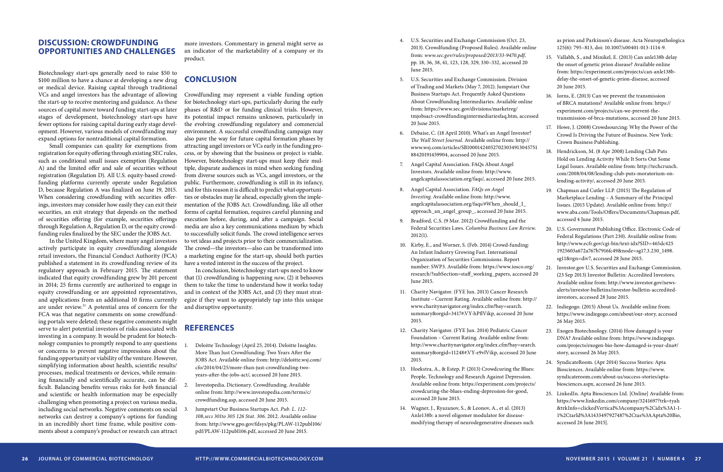- 4. U.S. Securities and Exchange Commission (Oct. 23, 2013). Crowdfunding (Proposed Rules). Available online from: *www.sec.gov/rules/proposed/2013/33-9470.pdf,*  pp. 18, 36, 38, 41, 123, 128, 329, 330–332, accessed 20 June 2015.
- 5. U.S. Securities and Exchange Commission. Division of Trading and Markets (May 7, 2012). Jumpstart Our Business Startups Act. Frequently Asked Questions About Crowdfunding Intermediaries. Available online from: https://www.sec.gov/divisions/marketreg/ tmjobsact-crowdfundingintermediariesfaq.htm, accessed 20 June 2015.
- 6. Debaise, C. (18 April 2010). What's an Angel Investor? *The Wall Street Journal*. Available online from: http:// www.wsj.com/articles/SB100014240527023034913045751 88420191459904, accessed 20 June 2015.
- 7. Angel Capital Association. FAQs About Angel Investors. Available online from: http://www. angelcapitalassociation.org/faqs/, accessed 20 June 2015.
- 8. Angel Capital Association. *FAQs on Angel Investing*. Available online from: http://www. angelcapitalassociation.org/faqs/#When\_should\_I\_ approach\_an\_angel\_group\_, accessed 20 June 2015.
- 9. Bradford, C.S. (9 Mar. 2012) Crowdfunding and the Federal Securities Laws. *Columbia Business Law Review*. 2012(1).
- 10. Kirby, E., and Worner, S. (Feb. 2014) Crowd-funding: An Infant Industry Growing Fast. International Organization of Securities Commissions. Report number: SWP3. Available from: https://www.iosco.org/ research/?subSection=staff\_working\_papers, accessed 20 June 2015.
- 11. Charity Navigator. (FYE Jun. 2013) Cancer Research Institute – Current Rating. Available online from: http:// www.charitynavigator.org/index.cfm?bay=search. summary&orgid=3417#.VY-hPflVikp, accessed 20 June 2015.
- 12. Charity Navigator. (FYE Jun. 2014) Pediatric Cancer Foundation – Current Rating*.* Available online from: http://www.charitynavigator.org/index.cfm?bay=search. summary&orgid=11248#.VY-e9vlVikp, accessed 20 June 2015.
- 13. Hoekstra, A., & Estep, P. (2013) Crowdcuring the Blues: People, Technology and Research Against Depression. Available online from: https://experiment.com/projects/ crowdcuring-the-blues-ending-depression-for-good, accessed 20 June 2015.
- 14. Wagner, J., Ryazanov, S., & Leonov, A., et al. (2013) Anle138b: a novel oligomer modulator for diseasemodifying therapy of neurodegenerative diseases such

as prion and Parkinson's disease. Acta Neuropathologica 125(6): 795–813, doi: 10.1007/s00401-013-1114-9.

- 15. Vallabh, S., and Minikel, E. (2013) Can anle138b delay the onset of genetic prion disease? Available online from: https://experiment.com/projects/can-anle138bdelay-the-onset-of-genetic-prion-disease, accessed 20 June 2015.
- 16. Iorns, E. (2013) Can we prevent the transmission of BRCA mutations? Available online from: https:// experiment.com/projects/can-we-prevent-thetransmission-of-brca-mutations, accessed 20 June 2015.
- 17. Howe, J. (2008) Crowdsourcing: Why the Power of the Crowd Is Driving the Future of Business. New York: Crown Business Publishing.
- 18. Hendrickson, M. (8 Apr 2008) Lending Club Puts Hold on Lending Activity While It Sorts Out Some Legal Issues. Available online from: http://techcrunch. com/2008/04/08/lending-club-puts-moratorium-onlending-activity/, accessed 20 June 2015.
- 19. Chapman and Cutler LLP. (2015) The Regulation of Marketplace Lending – A Summary of the Principal Issues. (2015 Update). Available online from: http:// www.aba.com/Tools/Offers/Documents/Chapman.pdf, accessed 4 June 2015.
- 20. U.S. Government Publishing Office. Electronic Code of Federal Regulations (Part 230). Available online from: http://www.ecfr.gov/cgi-bin/text-idx?SID=465dc425 1925603a672a767b7916fc49&node=sg17.3.230\_1498. sg11&rgn=div7, accessed 28 June 2015.
- 21. Investor.gov U.S. Securities and Exchange Commission. (23 Sep 2013) Investor Bulletin: Accredited Investors. Available online from: http://www.investor.gov/newsalerts/investor-bulletins/investor-bulletin-accreditedinvestors, accessed 28 June 2015.
- 22. Indiegogo. (2015) About Us. Available online from: https://www.indiegogo.com/about/our-story, accessed 26 May 2015.
- 23. Exogen Biotechnology. (2014) How damaged is your DNA? Available online from: https://www.indiegogo. com/projects/exogen-bio-how-damaged-is-your-dna#/ story, accessed 26 May 2015.
- 24. SyndicateRoom. (Apr 2014) Success Stories: Apta Biosciences. Available online from: https://www. syndicateroom.com/about-us/success-stories/aptabiosciences.aspx, accessed 26 June 2015.
- 25. LinkedIn. Apta Biosciences Ltd. [Online] Available from: https://www.linkedin.com/company/3241697?trk=tyah &trkInfo=clickedVertical%3Acompany%2Cidx%3A1-1- 1%2CtarId%3A1433497927487%2Ctas%3AApta%20Bio, accessed 26 June 2015].

#### **DISCUSSION: CROWDFUNDING OPPORTUNITIES AND CHALLENGES**

Biotechnology start-ups generally need to raise \$50 to \$100 million to have a chance at developing a new drug or medical device. Raising capital through traditional VCs and angel investors has the advantage of allowing the start-up to receive mentoring and guidance. As these sources of capital move toward funding start-ups at later stages of development, biotechnology start-ups have fewer options for raising capital during early stage development. However, various models of crowdfunding may expand options for nontraditional capital formation.

Small companies can quality for exemptions from registration for equity offering through existing SEC rules, such as conditional small issues exemption (Regulation A) and the limited offer and sale of securities without registration (Regulation D). All U.S. equity-based crowdfunding platforms currently operate under Regulation D, because Regulation A was finalized on June 19, 2015. When considering crowdfunding with securities offerings, investors may consider how easily they can exit their securities, an exit strategy that depends on the method of securities offering (for example, securities offerings through Regulation A, Regulation D, or the equity crowdfunding rules finalized by the SEC under the JOBS Act.

In the United Kingdom, where many angel investors actively participate in equity crowdfunding alongside retail investors, the Financial Conduct Authority (FCA) published a statement in its crowdfunding review of its regulatory approach in February 2015. The statement indicated that equity crowdfunding grew by 201 percent in 2014; 25 firms currently are authorized to engage in equity crowdfunding or are appointed representatives, and applications from an additional 10 firms currently are under review.<sup>31</sup> A potential area of concern for the FCA was that negative comments on some crowdfunding portals were deleted; these negative comments might serve to alert potential investors of risks associated with investing in a company. It would be prudent for biotechnology companies to promptly respond to any questions or concerns to prevent negative impressions about the funding opportunity or viability of the venture. However, simplifying information about health, scientific results/ processes, medical treatments or devices, while remaining financially and scientifically accurate, can be difficult. Balancing benefits versus risks for *both* financial and scientific or health information may be especially challenging when promoting a project on various media, including social networks. Negative comments on social networks can destroy a company's options for funding in an incredibly short time frame, while positive comments about a company's product or research can attract

more investors. Commentary in general might serve as an indicator of the marketability of a company or its product.

# **CONCLUSION**

Crowdfunding may represent a viable funding option for biotechnology start-ups, particularly during the early phases of R&D or for funding clinical trials. However, its potential impact remains unknown, particularly in the evolving crowdfunding regulatory and commercial environment. A successful crowdfunding campaign may also pave the way for future capital formation phases by attracting angel investors or VCs early in the funding process, or by showing that the business or project is viable. However, biotechnology start-ups must keep their multiple, disparate audiences in mind when seeking funding from diverse sources such as VCs, angel investors, or the public. Furthermore, crowdfunding is still in its infancy, and for this reason it is difficult to predict what opportunities or obstacles may lie ahead, especially given the implementation of the JOBS Act. Crowdfunding, like all other forms of capital formation, requires careful planning and execution before, during, and after a campaign. Social media are also a key communications medium by which to successfully solicit funds. The crowd intelligence serves to vet ideas and projects prior to their commercialization. The crowd—the investors—also can be transformed into a marketing engine for the start-up, should both parties have a vested interest in the success of the project.

In conclusion, biotechnology start-ups need to know that (1) crowdfunding is happening *now*, (2) it behooves them to take the time to understand how it works today and in context of the JOBS Act, and (3) they must strategize if they want to appropriately tap into this unique and disruptive opportunity.

# **References**

- 1. Deloitte Technology (April 25, 2014). Deloitte Insights. More Than Just Crowdfunding: Two Years After the JOBS Act. Available online from: http://deloitte.wsj.com/ cfo/2014/04/25/more-than-just-crowdfunding-twoyears-after-the-jobs-act/, accessed 20 June 2015.
- 2. Investopedia. Dictionary. Crowdfunding. Available online from: http://www.investopedia.com/terms/c/ crowdfunding.asp, accessed 20 June 2015.
- 3. Jumpstart Our Business Startups Act. *Pub. L. 112- 108,secs 301to 305 126 Stat. 306*. 2012. Available online from: http://www.gpo.gov/fdsys/pkg/PLAW-112publ106/ pdf/PLAW-112publ106.pdf, accessed 20 June 2015.